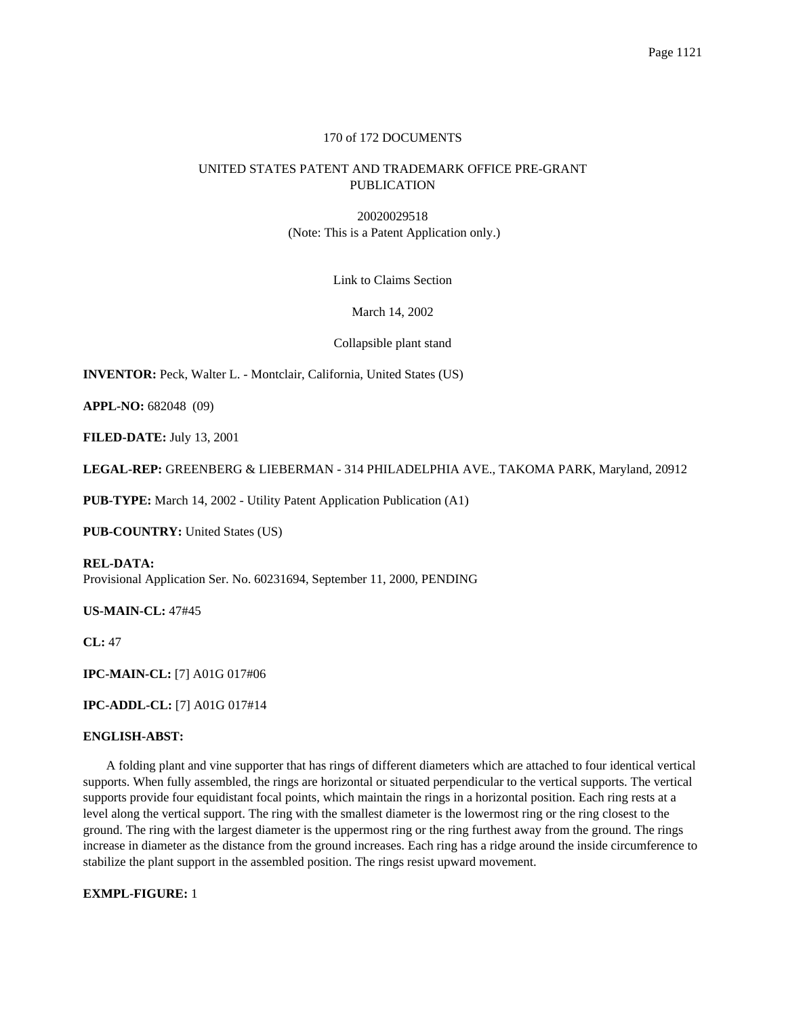## 170 of 172 DOCUMENTS

# UNITED STATES PATENT AND TRADEMARK OFFICE PRE-GRANT PUBLICATION

20020029518 (Note: This is a Patent Application only.)

Link to Claims Section

March 14, 2002

Collapsible plant stand

**INVENTOR:** Peck, Walter L. - Montclair, California, United States (US)

**APPL-NO:** 682048 (09)

**FILED-DATE:** July 13, 2001

**LEGAL-REP:** GREENBERG & LIEBERMAN - 314 PHILADELPHIA AVE., TAKOMA PARK, Maryland, 20912

**PUB-TYPE:** March 14, 2002 - Utility Patent Application Publication (A1)

**PUB-COUNTRY:** United States (US)

**REL-DATA:** Provisional Application Ser. No. 60231694, September 11, 2000, PENDING

**US-MAIN-CL:** 47#45

**CL:** 47

**IPC-MAIN-CL:** [7] A01G 017#06

**IPC-ADDL-CL:** [7] A01G 017#14

## **ENGLISH-ABST:**

A folding plant and vine supporter that has rings of different diameters which are attached to four identical vertical supports. When fully assembled, the rings are horizontal or situated perpendicular to the vertical supports. The vertical supports provide four equidistant focal points, which maintain the rings in a horizontal position. Each ring rests at a level along the vertical support. The ring with the smallest diameter is the lowermost ring or the ring closest to the ground. The ring with the largest diameter is the uppermost ring or the ring furthest away from the ground. The rings increase in diameter as the distance from the ground increases. Each ring has a ridge around the inside circumference to stabilize the plant support in the assembled position. The rings resist upward movement.

**EXMPL-FIGURE:** 1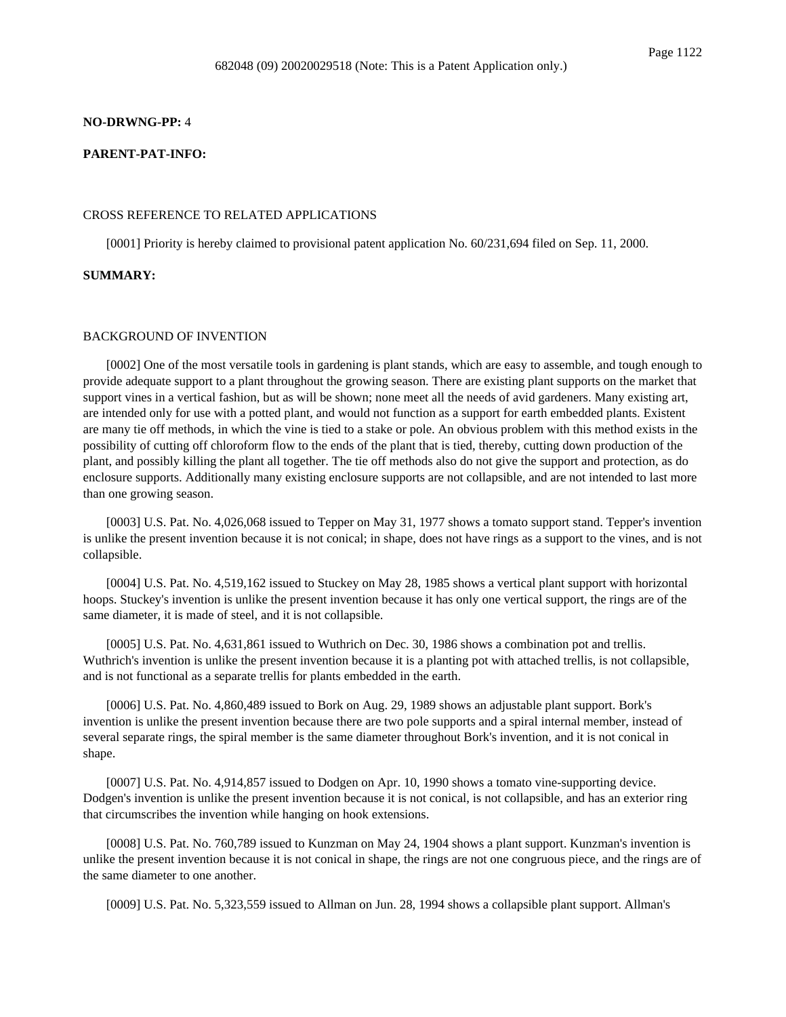#### **NO-DRWNG-PP:** 4

### **PARENT-PAT-INFO:**

#### CROSS REFERENCE TO RELATED APPLICATIONS

[0001] Priority is hereby claimed to provisional patent application No. 60/231,694 filed on Sep. 11, 2000.

## **SUMMARY:**

### BACKGROUND OF INVENTION

[0002] One of the most versatile tools in gardening is plant stands, which are easy to assemble, and tough enough to provide adequate support to a plant throughout the growing season. There are existing plant supports on the market that support vines in a vertical fashion, but as will be shown; none meet all the needs of avid gardeners. Many existing art, are intended only for use with a potted plant, and would not function as a support for earth embedded plants. Existent are many tie off methods, in which the vine is tied to a stake or pole. An obvious problem with this method exists in the possibility of cutting off chloroform flow to the ends of the plant that is tied, thereby, cutting down production of the plant, and possibly killing the plant all together. The tie off methods also do not give the support and protection, as do enclosure supports. Additionally many existing enclosure supports are not collapsible, and are not intended to last more than one growing season.

[0003] U.S. Pat. No. 4,026,068 issued to Tepper on May 31, 1977 shows a tomato support stand. Tepper's invention is unlike the present invention because it is not conical; in shape, does not have rings as a support to the vines, and is not collapsible.

[0004] U.S. Pat. No. 4,519,162 issued to Stuckey on May 28, 1985 shows a vertical plant support with horizontal hoops. Stuckey's invention is unlike the present invention because it has only one vertical support, the rings are of the same diameter, it is made of steel, and it is not collapsible.

[0005] U.S. Pat. No. 4,631,861 issued to Wuthrich on Dec. 30, 1986 shows a combination pot and trellis. Wuthrich's invention is unlike the present invention because it is a planting pot with attached trellis, is not collapsible, and is not functional as a separate trellis for plants embedded in the earth.

[0006] U.S. Pat. No. 4,860,489 issued to Bork on Aug. 29, 1989 shows an adjustable plant support. Bork's invention is unlike the present invention because there are two pole supports and a spiral internal member, instead of several separate rings, the spiral member is the same diameter throughout Bork's invention, and it is not conical in shape.

[0007] U.S. Pat. No. 4,914,857 issued to Dodgen on Apr. 10, 1990 shows a tomato vine-supporting device. Dodgen's invention is unlike the present invention because it is not conical, is not collapsible, and has an exterior ring that circumscribes the invention while hanging on hook extensions.

[0008] U.S. Pat. No. 760,789 issued to Kunzman on May 24, 1904 shows a plant support. Kunzman's invention is unlike the present invention because it is not conical in shape, the rings are not one congruous piece, and the rings are of the same diameter to one another.

[0009] U.S. Pat. No. 5,323,559 issued to Allman on Jun. 28, 1994 shows a collapsible plant support. Allman's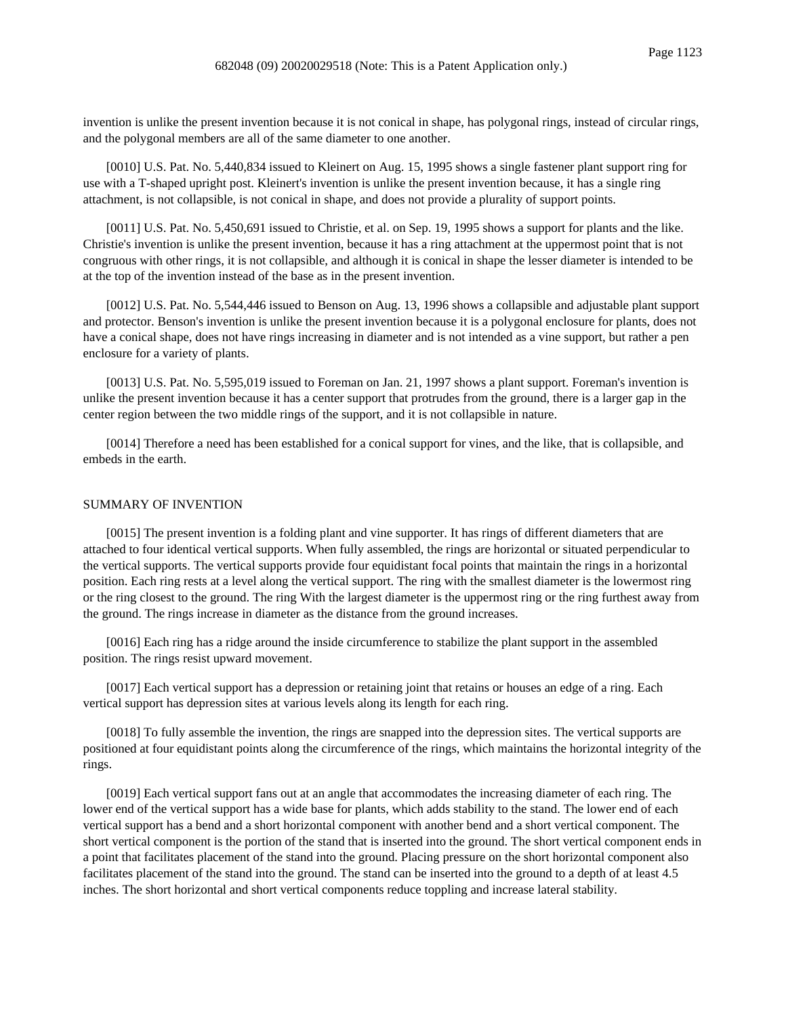invention is unlike the present invention because it is not conical in shape, has polygonal rings, instead of circular rings, and the polygonal members are all of the same diameter to one another.

[0010] U.S. Pat. No. 5,440,834 issued to Kleinert on Aug. 15, 1995 shows a single fastener plant support ring for use with a T-shaped upright post. Kleinert's invention is unlike the present invention because, it has a single ring attachment, is not collapsible, is not conical in shape, and does not provide a plurality of support points.

[0011] U.S. Pat. No. 5,450,691 issued to Christie, et al. on Sep. 19, 1995 shows a support for plants and the like. Christie's invention is unlike the present invention, because it has a ring attachment at the uppermost point that is not congruous with other rings, it is not collapsible, and although it is conical in shape the lesser diameter is intended to be at the top of the invention instead of the base as in the present invention.

[0012] U.S. Pat. No. 5,544,446 issued to Benson on Aug. 13, 1996 shows a collapsible and adjustable plant support and protector. Benson's invention is unlike the present invention because it is a polygonal enclosure for plants, does not have a conical shape, does not have rings increasing in diameter and is not intended as a vine support, but rather a pen enclosure for a variety of plants.

[0013] U.S. Pat. No. 5,595,019 issued to Foreman on Jan. 21, 1997 shows a plant support. Foreman's invention is unlike the present invention because it has a center support that protrudes from the ground, there is a larger gap in the center region between the two middle rings of the support, and it is not collapsible in nature.

[0014] Therefore a need has been established for a conical support for vines, and the like, that is collapsible, and embeds in the earth.

#### SUMMARY OF INVENTION

[0015] The present invention is a folding plant and vine supporter. It has rings of different diameters that are attached to four identical vertical supports. When fully assembled, the rings are horizontal or situated perpendicular to the vertical supports. The vertical supports provide four equidistant focal points that maintain the rings in a horizontal position. Each ring rests at a level along the vertical support. The ring with the smallest diameter is the lowermost ring or the ring closest to the ground. The ring With the largest diameter is the uppermost ring or the ring furthest away from the ground. The rings increase in diameter as the distance from the ground increases.

[0016] Each ring has a ridge around the inside circumference to stabilize the plant support in the assembled position. The rings resist upward movement.

[0017] Each vertical support has a depression or retaining joint that retains or houses an edge of a ring. Each vertical support has depression sites at various levels along its length for each ring.

[0018] To fully assemble the invention, the rings are snapped into the depression sites. The vertical supports are positioned at four equidistant points along the circumference of the rings, which maintains the horizontal integrity of the rings.

[0019] Each vertical support fans out at an angle that accommodates the increasing diameter of each ring. The lower end of the vertical support has a wide base for plants, which adds stability to the stand. The lower end of each vertical support has a bend and a short horizontal component with another bend and a short vertical component. The short vertical component is the portion of the stand that is inserted into the ground. The short vertical component ends in a point that facilitates placement of the stand into the ground. Placing pressure on the short horizontal component also facilitates placement of the stand into the ground. The stand can be inserted into the ground to a depth of at least 4.5 inches. The short horizontal and short vertical components reduce toppling and increase lateral stability.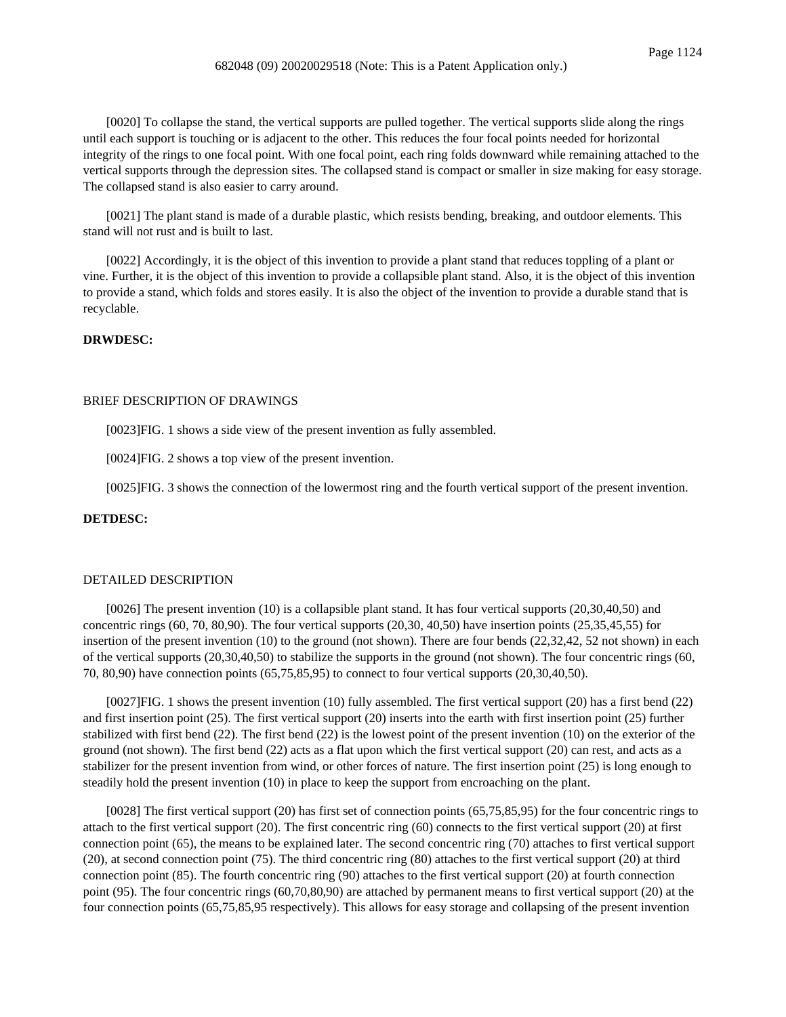[0020] To collapse the stand, the vertical supports are pulled together. The vertical supports slide along the rings until each support is touching or is adjacent to the other. This reduces the four focal points needed for horizontal integrity of the rings to one focal point. With one focal point, each ring folds downward while remaining attached to the vertical supports through the depression sites. The collapsed stand is compact or smaller in size making for easy storage. The collapsed stand is also easier to carry around.

[0021] The plant stand is made of a durable plastic, which resists bending, breaking, and outdoor elements. This stand will not rust and is built to last.

[0022] Accordingly, it is the object of this invention to provide a plant stand that reduces toppling of a plant or vine. Further, it is the object of this invention to provide a collapsible plant stand. Also, it is the object of this invention to provide a stand, which folds and stores easily. It is also the object of the invention to provide a durable stand that is recyclable.

## **DRWDESC:**

### BRIEF DESCRIPTION OF DRAWINGS

[0023]FIG. 1 shows a side view of the present invention as fully assembled.

[0024]FIG. 2 shows a top view of the present invention.

[0025]FIG. 3 shows the connection of the lowermost ring and the fourth vertical support of the present invention.

#### **DETDESC:**

## DETAILED DESCRIPTION

[0026] The present invention (10) is a collapsible plant stand. It has four vertical supports (20,30,40,50) and concentric rings (60, 70, 80,90). The four vertical supports (20,30, 40,50) have insertion points (25,35,45,55) for insertion of the present invention (10) to the ground (not shown). There are four bends (22,32,42, 52 not shown) in each of the vertical supports (20,30,40,50) to stabilize the supports in the ground (not shown). The four concentric rings (60, 70, 80,90) have connection points (65,75,85,95) to connect to four vertical supports (20,30,40,50).

[0027]FIG. 1 shows the present invention (10) fully assembled. The first vertical support (20) has a first bend (22) and first insertion point (25). The first vertical support (20) inserts into the earth with first insertion point (25) further stabilized with first bend (22). The first bend (22) is the lowest point of the present invention (10) on the exterior of the ground (not shown). The first bend (22) acts as a flat upon which the first vertical support (20) can rest, and acts as a stabilizer for the present invention from wind, or other forces of nature. The first insertion point (25) is long enough to steadily hold the present invention (10) in place to keep the support from encroaching on the plant.

[0028] The first vertical support (20) has first set of connection points (65,75,85,95) for the four concentric rings to attach to the first vertical support (20). The first concentric ring (60) connects to the first vertical support (20) at first connection point (65), the means to be explained later. The second concentric ring (70) attaches to first vertical support (20), at second connection point (75). The third concentric ring (80) attaches to the first vertical support (20) at third connection point (85). The fourth concentric ring (90) attaches to the first vertical support (20) at fourth connection point (95). The four concentric rings (60,70,80,90) are attached by permanent means to first vertical support (20) at the four connection points (65,75,85,95 respectively). This allows for easy storage and collapsing of the present invention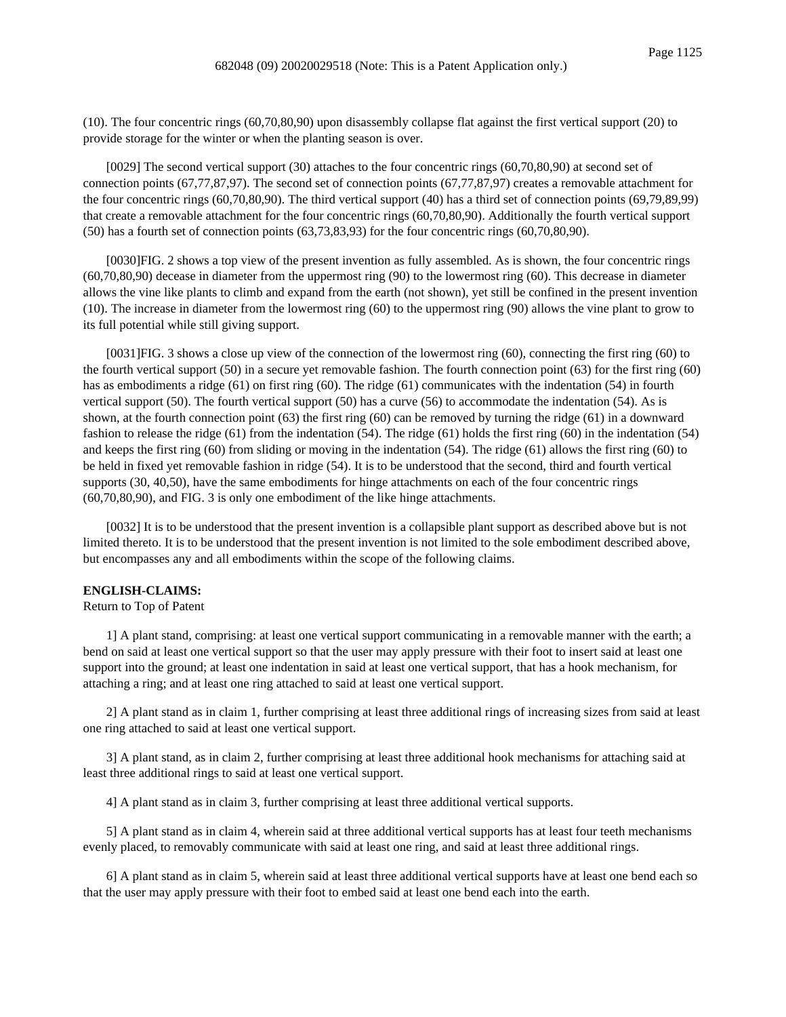(10). The four concentric rings (60,70,80,90) upon disassembly collapse flat against the first vertical support (20) to provide storage for the winter or when the planting season is over.

[0029] The second vertical support (30) attaches to the four concentric rings (60,70,80,90) at second set of connection points (67,77,87,97). The second set of connection points (67,77,87,97) creates a removable attachment for the four concentric rings (60,70,80,90). The third vertical support (40) has a third set of connection points (69,79,89,99) that create a removable attachment for the four concentric rings (60,70,80,90). Additionally the fourth vertical support  $(50)$  has a fourth set of connection points  $(63,73,83,93)$  for the four concentric rings  $(60,70,80,90)$ .

[0030]FIG. 2 shows a top view of the present invention as fully assembled. As is shown, the four concentric rings (60,70,80,90) decease in diameter from the uppermost ring (90) to the lowermost ring (60). This decrease in diameter allows the vine like plants to climb and expand from the earth (not shown), yet still be confined in the present invention (10). The increase in diameter from the lowermost ring (60) to the uppermost ring (90) allows the vine plant to grow to its full potential while still giving support.

[0031]FIG. 3 shows a close up view of the connection of the lowermost ring (60), connecting the first ring (60) to the fourth vertical support (50) in a secure yet removable fashion. The fourth connection point (63) for the first ring (60) has as embodiments a ridge (61) on first ring (60). The ridge (61) communicates with the indentation (54) in fourth vertical support (50). The fourth vertical support (50) has a curve (56) to accommodate the indentation (54). As is shown, at the fourth connection point (63) the first ring (60) can be removed by turning the ridge (61) in a downward fashion to release the ridge (61) from the indentation (54). The ridge (61) holds the first ring (60) in the indentation (54) and keeps the first ring (60) from sliding or moving in the indentation (54). The ridge (61) allows the first ring (60) to be held in fixed yet removable fashion in ridge (54). It is to be understood that the second, third and fourth vertical supports (30, 40,50), have the same embodiments for hinge attachments on each of the four concentric rings (60,70,80,90), and FIG. 3 is only one embodiment of the like hinge attachments.

[0032] It is to be understood that the present invention is a collapsible plant support as described above but is not limited thereto. It is to be understood that the present invention is not limited to the sole embodiment described above, but encompasses any and all embodiments within the scope of the following claims.

#### **ENGLISH-CLAIMS:**

## Return to Top of Patent

1] A plant stand, comprising: at least one vertical support communicating in a removable manner with the earth; a bend on said at least one vertical support so that the user may apply pressure with their foot to insert said at least one support into the ground; at least one indentation in said at least one vertical support, that has a hook mechanism, for attaching a ring; and at least one ring attached to said at least one vertical support.

2] A plant stand as in claim 1, further comprising at least three additional rings of increasing sizes from said at least one ring attached to said at least one vertical support.

3] A plant stand, as in claim 2, further comprising at least three additional hook mechanisms for attaching said at least three additional rings to said at least one vertical support.

4] A plant stand as in claim 3, further comprising at least three additional vertical supports.

5] A plant stand as in claim 4, wherein said at three additional vertical supports has at least four teeth mechanisms evenly placed, to removably communicate with said at least one ring, and said at least three additional rings.

6] A plant stand as in claim 5, wherein said at least three additional vertical supports have at least one bend each so that the user may apply pressure with their foot to embed said at least one bend each into the earth.